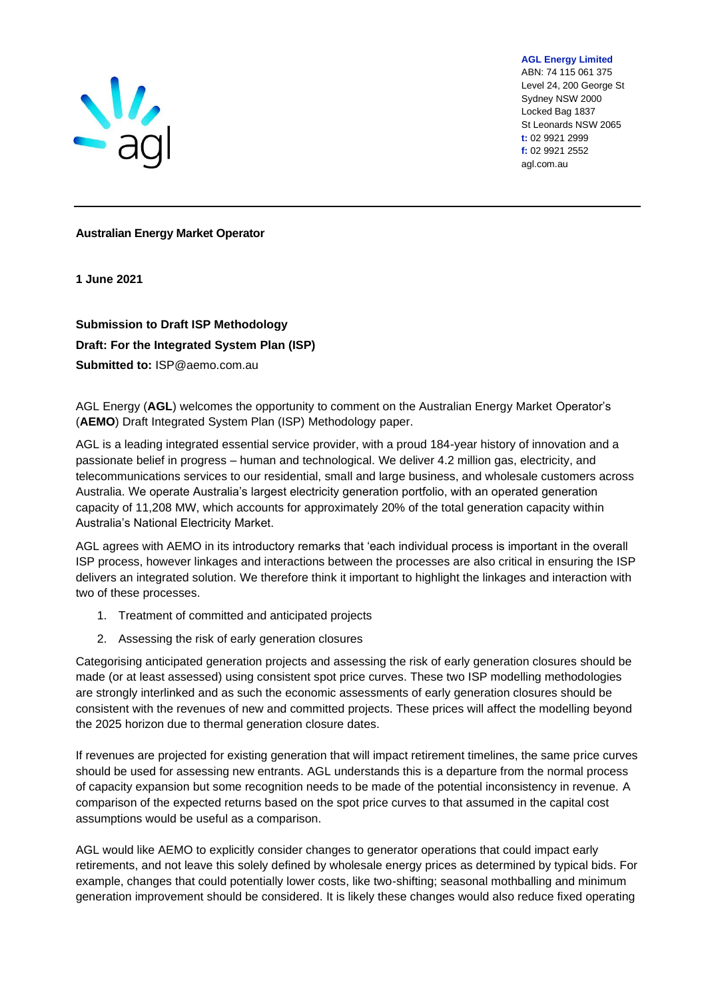

**AGL Energy Limited** ABN: 74 115 061 375 Level 24, 200 George St Sydney NSW 2000 Locked Bag 1837 St Leonards NSW 2065 **t:** 02 9921 2999 **f:** 02 9921 2552 agl.com.au

## **Australian Energy Market Operator**

**1 June 2021**

**Submission to Draft ISP Methodology Draft: For the Integrated System Plan (ISP) Submitted to:** ISP@aemo.com.au

AGL Energy (**AGL**) welcomes the opportunity to comment on the Australian Energy Market Operator's (**AEMO**) Draft Integrated System Plan (ISP) Methodology paper.

AGL is a leading integrated essential service provider, with a proud 184-year history of innovation and a passionate belief in progress – human and technological. We deliver 4.2 million gas, electricity, and telecommunications services to our residential, small and large business, and wholesale customers across Australia. We operate Australia's largest electricity generation portfolio, with an operated generation capacity of 11,208 MW, which accounts for approximately 20% of the total generation capacity within Australia's National Electricity Market.

AGL agrees with AEMO in its introductory remarks that 'each individual process is important in the overall ISP process, however linkages and interactions between the processes are also critical in ensuring the ISP delivers an integrated solution. We therefore think it important to highlight the linkages and interaction with two of these processes.

- 1. Treatment of committed and anticipated projects
- 2. Assessing the risk of early generation closures

Categorising anticipated generation projects and assessing the risk of early generation closures should be made (or at least assessed) using consistent spot price curves. These two ISP modelling methodologies are strongly interlinked and as such the economic assessments of early generation closures should be consistent with the revenues of new and committed projects. These prices will affect the modelling beyond the 2025 horizon due to thermal generation closure dates.

If revenues are projected for existing generation that will impact retirement timelines, the same price curves should be used for assessing new entrants. AGL understands this is a departure from the normal process of capacity expansion but some recognition needs to be made of the potential inconsistency in revenue. A comparison of the expected returns based on the spot price curves to that assumed in the capital cost assumptions would be useful as a comparison.

AGL would like AEMO to explicitly consider changes to generator operations that could impact early retirements, and not leave this solely defined by wholesale energy prices as determined by typical bids. For example, changes that could potentially lower costs, like two-shifting; seasonal mothballing and minimum generation improvement should be considered. It is likely these changes would also reduce fixed operating